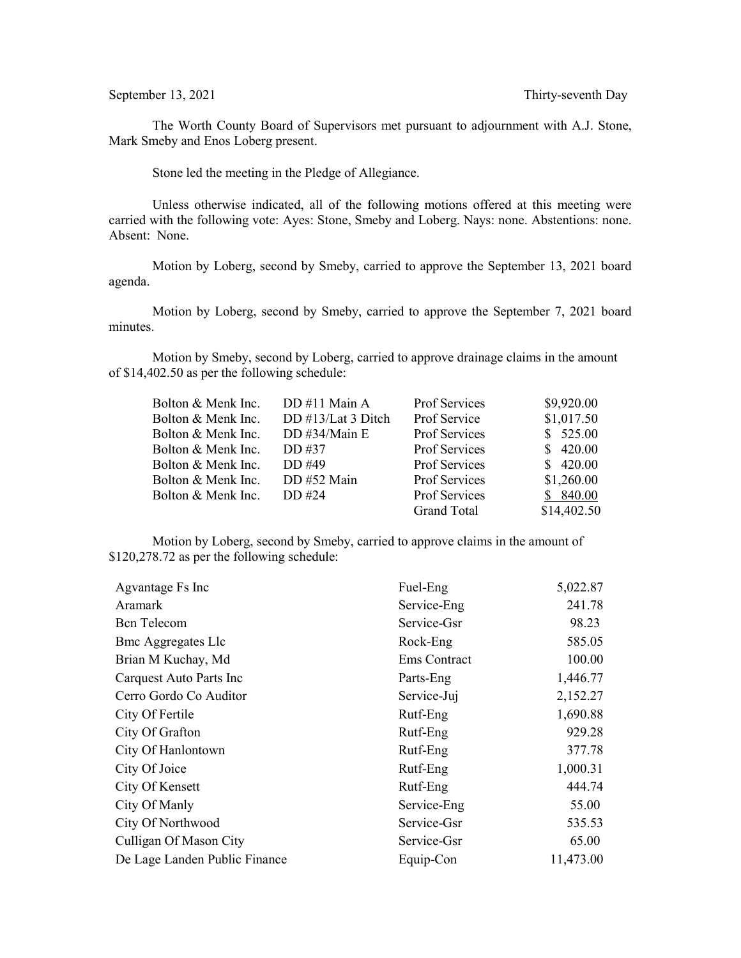The Worth County Board of Supervisors met pursuant to adjournment with A.J. Stone, Mark Smeby and Enos Loberg present.

Stone led the meeting in the Pledge of Allegiance.

Unless otherwise indicated, all of the following motions offered at this meeting were carried with the following vote: Ayes: Stone, Smeby and Loberg. Nays: none. Abstentions: none. Absent: None.

Motion by Loberg, second by Smeby, carried to approve the September 13, 2021 board agenda.

Motion by Loberg, second by Smeby, carried to approve the September 7, 2021 board minutes.

Motion by Smeby, second by Loberg, carried to approve drainage claims in the amount of \$14,402.50 as per the following schedule:

| Bolton & Menk Inc. | DD #11 Main A      | Prof Services      | \$9,920.00  |
|--------------------|--------------------|--------------------|-------------|
| Bolton & Menk Inc. | DD #13/Lat 3 Ditch | Prof Service       | \$1,017.50  |
| Bolton & Menk Inc. | DD #34/Main E      | Prof Services      | \$525.00    |
| Bolton & Menk Inc. | DD #37             | Prof Services      | \$420.00    |
| Bolton & Menk Inc. | DD #49             | Prof Services      | \$420.00    |
| Bolton & Menk Inc. | DD #52 Main        | Prof Services      | \$1,260.00  |
| Bolton & Menk Inc. | DD#24              | Prof Services      | \$840.00    |
|                    |                    | <b>Grand Total</b> | \$14,402.50 |

Motion by Loberg, second by Smeby, carried to approve claims in the amount of \$120,278.72 as per the following schedule:

| Agvantage Fs Inc              | Fuel-Eng     | 5,022.87  |
|-------------------------------|--------------|-----------|
| Aramark                       | Service-Eng  | 241.78    |
| <b>B</b> cn Telecom           | Service-Gsr  | 98.23     |
| <b>Bmc Aggregates Llc</b>     | Rock-Eng     | 585.05    |
| Brian M Kuchay, Md            | Ems Contract | 100.00    |
| Carquest Auto Parts Inc       | Parts-Eng    | 1,446.77  |
| Cerro Gordo Co Auditor        | Service-Juj  | 2,152.27  |
| City Of Fertile               | Rutf-Eng     | 1,690.88  |
| City Of Grafton               | Rutf-Eng     | 929.28    |
| City Of Hanlontown            | Rutf-Eng     | 377.78    |
| City Of Joice                 | Rutf-Eng     | 1,000.31  |
| City Of Kensett               | Rutf-Eng     | 444.74    |
| City Of Manly                 | Service-Eng  | 55.00     |
| City Of Northwood             | Service-Gsr  | 535.53    |
| Culligan Of Mason City        | Service-Gsr  | 65.00     |
| De Lage Landen Public Finance | Equip-Con    | 11,473.00 |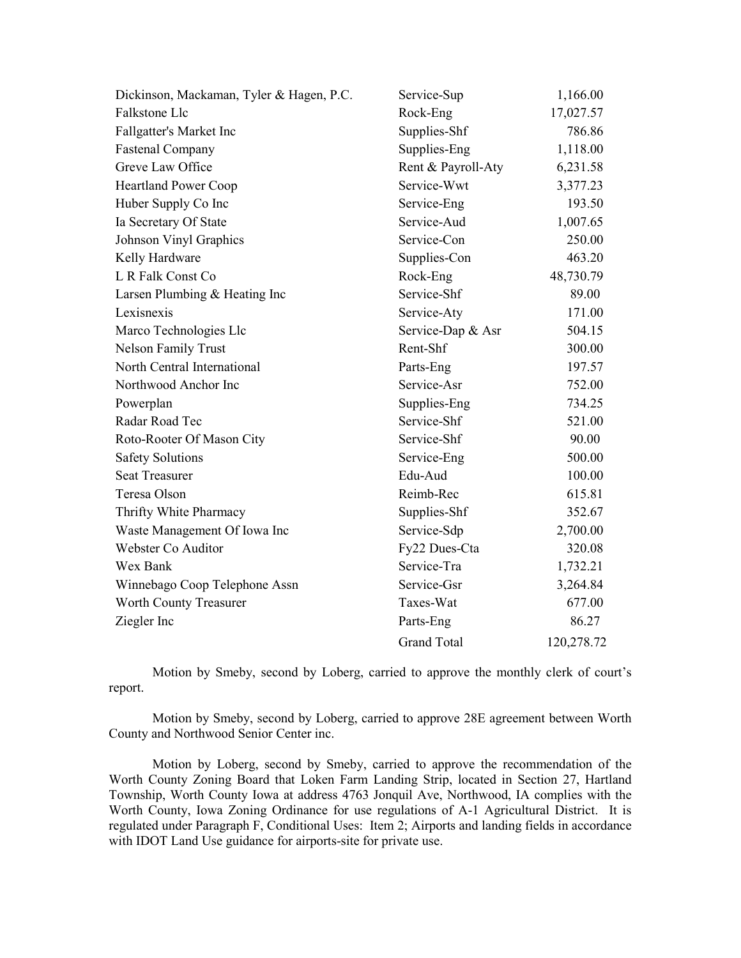| Dickinson, Mackaman, Tyler & Hagen, P.C. | Service-Sup        | 1,166.00   |
|------------------------------------------|--------------------|------------|
| Falkstone Llc                            | Rock-Eng           | 17,027.57  |
| Fallgatter's Market Inc                  | Supplies-Shf       | 786.86     |
| <b>Fastenal Company</b>                  | Supplies-Eng       | 1,118.00   |
| Greve Law Office                         | Rent & Payroll-Aty | 6,231.58   |
| <b>Heartland Power Coop</b>              | Service-Wwt        | 3,377.23   |
| Huber Supply Co Inc                      | Service-Eng        | 193.50     |
| Ia Secretary Of State                    | Service-Aud        | 1,007.65   |
| Johnson Vinyl Graphics                   | Service-Con        | 250.00     |
| Kelly Hardware                           | Supplies-Con       | 463.20     |
| L R Falk Const Co                        | Rock-Eng           | 48,730.79  |
| Larsen Plumbing & Heating Inc            | Service-Shf        | 89.00      |
| Lexisnexis                               | Service-Aty        | 171.00     |
| Marco Technologies Llc                   | Service-Dap & Asr  | 504.15     |
| <b>Nelson Family Trust</b>               | Rent-Shf           | 300.00     |
| North Central International              | Parts-Eng          | 197.57     |
| Northwood Anchor Inc                     | Service-Asr        | 752.00     |
| Powerplan                                | Supplies-Eng       | 734.25     |
| Radar Road Tec                           | Service-Shf        | 521.00     |
| Roto-Rooter Of Mason City                | Service-Shf        | 90.00      |
| <b>Safety Solutions</b>                  | Service-Eng        | 500.00     |
| <b>Seat Treasurer</b>                    | Edu-Aud            | 100.00     |
| Teresa Olson                             | Reimb-Rec          | 615.81     |
| Thrifty White Pharmacy                   | Supplies-Shf       | 352.67     |
| Waste Management Of Iowa Inc             | Service-Sdp        | 2,700.00   |
| Webster Co Auditor                       | Fy22 Dues-Cta      | 320.08     |
| Wex Bank                                 | Service-Tra        | 1,732.21   |
| Winnebago Coop Telephone Assn            | Service-Gsr        | 3,264.84   |
| Worth County Treasurer                   | Taxes-Wat          | 677.00     |
| Ziegler Inc                              | Parts-Eng          | 86.27      |
|                                          | <b>Grand Total</b> | 120,278.72 |

Motion by Smeby, second by Loberg, carried to approve the monthly clerk of court's report.

Motion by Smeby, second by Loberg, carried to approve 28E agreement between Worth County and Northwood Senior Center inc.

Motion by Loberg, second by Smeby, carried to approve the recommendation of the Worth County Zoning Board that Loken Farm Landing Strip, located in Section 27, Hartland Township, Worth County Iowa at address 4763 Jonquil Ave, Northwood, IA complies with the Worth County, Iowa Zoning Ordinance for use regulations of A-1 Agricultural District. It is regulated under Paragraph F, Conditional Uses: Item 2; Airports and landing fields in accordance with IDOT Land Use guidance for airports-site for private use.